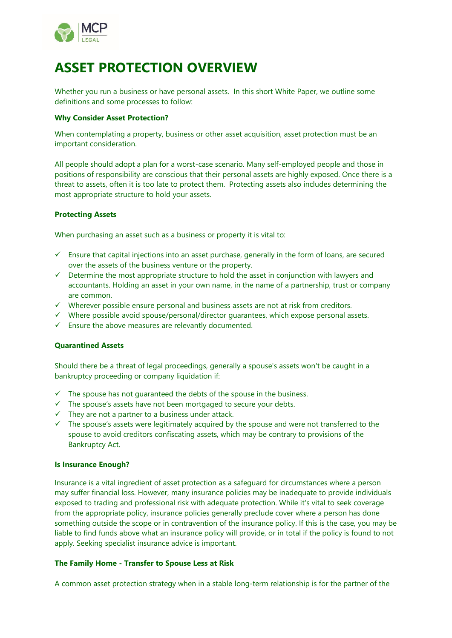

# **ASSET PROTECTION OVERVIEW**

Whether you run a business or have personal assets. In this short White Paper, we outline some definitions and some processes to follow:

### **Why Consider Asset Protection?**

When contemplating a property, business or other asset acquisition, asset protection must be an important consideration.

All people should adopt a plan for a worst-case scenario. Many self-employed people and those in positions of responsibility are conscious that their personal assets are highly exposed. Once there is a threat to assets, often it is too late to protect them. Protecting assets also includes determining the most appropriate structure to hold your assets.

## **Protecting Assets**

When purchasing an asset such as a business or property it is vital to:

- $\checkmark$  Ensure that capital injections into an asset purchase, generally in the form of loans, are secured over the assets of the business venture or the property.
- $\checkmark$  Determine the most appropriate structure to hold the asset in conjunction with lawyers and accountants. Holding an asset in your own name, in the name of a partnership, trust or company are common.
- ✓ Wherever possible ensure personal and business assets are not at risk from creditors.
- $\checkmark$  Where possible avoid spouse/personal/director quarantees, which expose personal assets.
- ✓ Ensure the above measures are relevantly documented.

## **Quarantined Assets**

Should there be a threat of legal proceedings, generally a spouse's assets won't be caught in a bankruptcy proceeding or company liquidation if:

- $\checkmark$  The spouse has not quaranteed the debts of the spouse in the business.
- ✓ The spouse's assets have not been mortgaged to secure your debts.
- $\checkmark$  They are not a partner to a business under attack.
- ✓ The spouse's assets were legitimately acquired by the spouse and were not transferred to the spouse to avoid creditors confiscating assets, which may be contrary to provisions of the Bankruptcy Act.

#### **Is Insurance Enough?**

Insurance is a vital ingredient of asset protection as a safeguard for circumstances where a person may suffer financial loss. However, many insurance policies may be inadequate to provide individuals exposed to trading and professional risk with adequate protection. While it's vital to seek coverage from the appropriate policy, insurance policies generally preclude cover where a person has done something outside the scope or in contravention of the insurance policy. If this is the case, you may be liable to find funds above what an insurance policy will provide, or in total if the policy is found to not apply. Seeking specialist insurance advice is important.

#### **The Family Home - Transfer to Spouse Less at Risk**

A common asset protection strategy when in a stable long-term relationship is for the partner of the